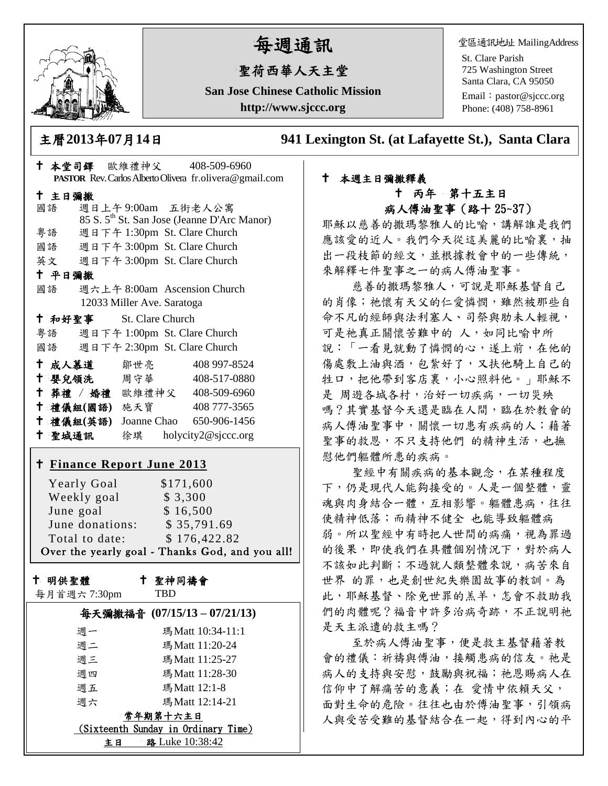

# 每週通訊

## 聖荷西華人天主堂

**San Jose Chinese Catholic Mission http://www.sjccc.org**

堂區通訊地址 MailingAddress

St. Clare Parish 725 Washington Street Santa Clara, CA 95050

Email: [pastor@sjccc.org](mailto:pastor@sjccc.org) Phone: (408) 758-8961

主曆**2013**年**07**月**14**日 **941 Lexington St. (at Lafayette St.), Santa Clara** 

|                                 | † 本堂司鐸 歐維禮神父 408-509-6960          |                            |  |                                                         |  |
|---------------------------------|------------------------------------|----------------------------|--|---------------------------------------------------------|--|
|                                 |                                    |                            |  | PASTOR Rev. Carlos Alberto Olivera fr.olivera@gmail.com |  |
|                                 | 十 主日彌撒                             |                            |  |                                                         |  |
|                                 | 國語 週日上午9:00am 五街老人公寓               |                            |  |                                                         |  |
|                                 |                                    |                            |  | 85 S. 5 <sup>th</sup> St. San Jose (Jeanne D'Arc Manor) |  |
|                                 | 粤語 週日下午 1:30pm St. Clare Church    |                            |  |                                                         |  |
|                                 | 國語 週日下午 3:00pm St. Clare Church    |                            |  |                                                         |  |
|                                 | 英文 週日下午 3:00pm St. Clare Church    |                            |  |                                                         |  |
|                                 | 十 平日彌撒                             |                            |  |                                                         |  |
|                                 | 國語 週六上午 8:00am Ascension Church    |                            |  |                                                         |  |
|                                 |                                    | 12033 Miller Ave. Saratoga |  |                                                         |  |
|                                 | † 和好聖事 St. Clare Church            |                            |  |                                                         |  |
|                                 | 粤語 週日下午 1:00pm St. Clare Church    |                            |  |                                                         |  |
| 國語 週日下午 2:30pm St. Clare Church |                                    |                            |  |                                                         |  |
|                                 | †成人慕道 鄒世亮 408 997-8524             |                            |  |                                                         |  |
|                                 | + 嬰兒領洗 周守華 408-517-0880            |                            |  |                                                         |  |
|                                 | + 葬禮 / 婚禮 歐維禮神父 408-509-6960       |                            |  |                                                         |  |
|                                 | † 禮儀組(國語) 施天寶 408777-3565          |                            |  |                                                         |  |
|                                 | † 禮儀組(英語) Joanne Chao 650-906-1456 |                            |  |                                                         |  |
|                                 |                                    |                            |  |                                                         |  |
|                                 |                                    |                            |  |                                                         |  |
|                                 | <u>† Finance Report June 2013</u>  |                            |  |                                                         |  |
|                                 | Yearly Goal \$171,600              |                            |  |                                                         |  |
|                                 | Weekly goal \$3,300                |                            |  |                                                         |  |
|                                 |                                    |                            |  |                                                         |  |

| June goal       | \$16,500                                        |
|-----------------|-------------------------------------------------|
| June donations: | \$35,791.69                                     |
| Total to date:  | \$176,422.82                                    |
|                 | Over the yearly goal - Thanks God, and you all! |

十 明供聖體

聖神同禱會

|  |  | 每月首週六7:30pm |
|--|--|-------------|
|--|--|-------------|

| 聖神同禱1 |
|-------|
| TBD   |

|                                     | 每天彌撒福音 (07/15/13-07/21/13) |  |  |  |
|-------------------------------------|----------------------------|--|--|--|
| 调一                                  | 瑪 Matt 10:34-11:1          |  |  |  |
| 调二                                  | 瑪Matt 11:20-24             |  |  |  |
| 週三                                  | 瑪Matt 11:25-27             |  |  |  |
| 週四                                  | 瑪Matt 11:28-30             |  |  |  |
| 週五                                  | 瑪Matt 12:1-8               |  |  |  |
| 週六                                  | 瑪 Matt 12:14-21            |  |  |  |
| 常年期第十六主日                            |                            |  |  |  |
| (Sixteenth Sunday in Ordinary Time) |                            |  |  |  |
| 路 Luke 10:38:42<br>ŧЕ               |                            |  |  |  |

#### 本週主日彌撒釋義 丙年 第十五主日 病人傅油聖事(路十 25~37)

耶穌以慈善的撒瑪黎雅人的比喻,講解誰是我們 應該愛的近人。我們今天從這美麗的比喻裏,抽 出一段枝節的經文,並根據教會中的一些傳統, 來解釋七件聖事之一的病人傅油聖事。

 慈善的撒瑪黎雅人,可說是耶穌基督自己 的肖像;祂懷有天父的仁愛憐憫,雖然被那些自 命不凡的經師與法利塞人、司祭與肋未人輕視, 可是祂真正關懷苦難中的 人,如同比喻中所 說:「一看見就動了憐憫的心,遂上前,在他的 傷處敷上油與酒,包紮好了,又扶他騎上自己的 牲口,把他帶到客店裏,小心照料他。」耶穌不 是 周遊各城各村,治好一切疾病,一切災殃 嗎?其實基督今天還是臨在人間,臨在於教會的 病人傅油聖事中,關懷一切患有疾病的人;藉著 聖事的救恩,不只支持他們 的精神生活,也撫 慰他們軀體所患的疾病。

 聖經中有關疾病的基本觀念,在某種程度 下,仍是現代人能夠接受的。人是一個整體,靈 魂與肉身結合一體,互相影響。軀體患病,往往 使精神低落;而精神不健全 也能導致軀體病 弱。所以聖經中有時把人世間的病痛,視為罪過 的後果,即使我們在具體個別情況下,對於病人 不該如此判斷;不過就人類整體來說,病苦來自 世界 的罪,也是創世紀失樂園故事的教訓。為 此,耶穌基督、除免世罪的羔羊,怎會不救助我 們的肉體呢?福音中許多治病奇跡,不正說明祂 是天主派遣的救主嗎?

 至於病人傅油聖事,便是救主基督藉著教 會的禮儀:祈禱與傅油,接觸患病的信友。祂是 病人的支持與安慰,鼓勵與祝福;祂恩賜病人在 信仰中了解痛苦的意義;在 愛情中依賴天父, 面對生命的危險。往往也由於傅油聖事,引領病 人與受苦受難的基督結合在一起,得到內心的平